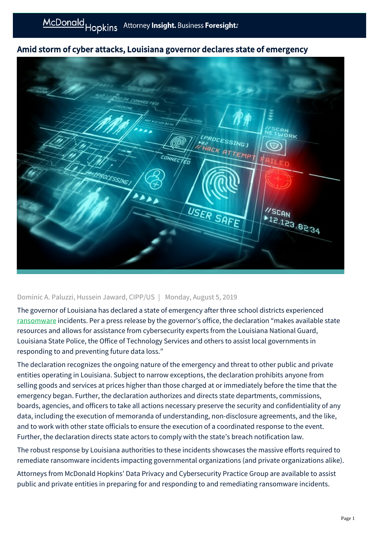## Amid storm of cyber attacks, Louisiana governor declares state of emergency



## Dominic A. Paluzzi, Hussein Jaward, CIPP/US | Monday, August 5, 2019

The governor of Louisiana has declared a state of emergency after three school districts experienced [ransomware](https://mcdonaldhopkins.com/Insights/Blog/Data-Privacy-Solutions/2019/07/01/How-will-you-respond-to-a-ransomware-attack) incidents. Per a press release by the governor's office, the declaration "makes available state resources and allows for assistance from cybersecurity experts from the Louisiana National Guard, Louisiana State Police, the Office of Technology Services and others to assist local governments in responding to and preventing future data loss."

The declaration recognizes the ongoing nature of the emergency and threat to other public and private entities operating in Louisiana. Subject to narrow exceptions, the declaration prohibits anyone from selling goods and services at prices higher than those charged at or immediately before the time that the emergency began. Further, the declaration authorizes and directs state departments, commissions, boards, agencies, and officers to take all actions necessary preserve the security and confidentiality of any data, including the execution of memoranda of understanding, non-disclosure agreements, and the like, and to work with other state officials to ensure the execution of a coordinated response to the event. Further, the declaration directs state actors to comply with the state's breach notification law.

The robust response by Louisiana authorities to these incidents showcases the massive efforts required to remediate ransomware incidents impacting governmental organizations (and private organizations alike).

Attorneys from McDonald Hopkins' Data Privacy and Cybersecurity Practice Group are available to assist public and private entities in preparing for and responding to and remediating ransomware incidents.